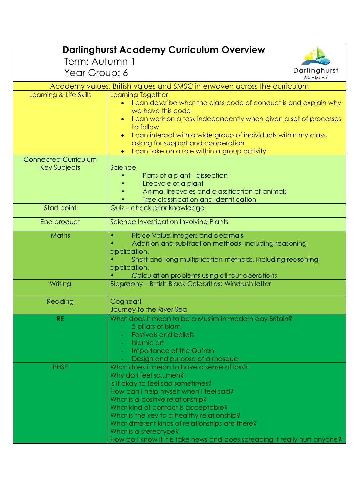| <b>Darlinghurst Academy Curriculum Overview</b>    |                                                                               |  |
|----------------------------------------------------|-------------------------------------------------------------------------------|--|
| Term: Autumn 1                                     |                                                                               |  |
| Year Group: 6                                      | Darlinghurst<br><b>ACADEMY</b>                                                |  |
|                                                    | Academy values, British values and SMSC interwoven across the curriculum      |  |
| Learning & Life Skills                             | <b>Learning Together</b>                                                      |  |
|                                                    | I can describe what the class code of conduct is and explain why              |  |
|                                                    | we have this code                                                             |  |
|                                                    | I can work on a task independently when given a set of processes<br>to follow |  |
|                                                    | I can interact with a wide group of individuals within my class,              |  |
|                                                    | asking for support and cooperation                                            |  |
|                                                    | I can take on a role within a group activity                                  |  |
| <b>Connected Curriculum</b><br><b>Key Subjects</b> |                                                                               |  |
|                                                    | Science<br>Parts of a plant - dissection                                      |  |
|                                                    | Lifecycle of a plant                                                          |  |
|                                                    | Animal lifecycles and classification of animals                               |  |
|                                                    | Tree classification and identification                                        |  |
| Start point                                        | Quiz - check prior knowledge                                                  |  |
| End product                                        | Science Investigation Involving Plants                                        |  |
| Maths                                              | Place Value-integers and decimals<br>$\bullet$                                |  |
|                                                    | Addition and subtraction methods, including reasoning                         |  |
|                                                    | application.<br>Short and long multiplication methods, including reasoning    |  |
|                                                    | application.                                                                  |  |
|                                                    | Calculation problems using all four operations                                |  |
| Writing                                            | Biography - British Black Celebrities; Windrush letter                        |  |
| Reading                                            | Cogheart                                                                      |  |
|                                                    | Journey to the River Sea                                                      |  |
| <b>RE</b>                                          | What does it mean to be a Muslim in modern day Britain?                       |  |
|                                                    | 5 pillars of Islam<br><b>Festivals and beliefs</b>                            |  |
|                                                    | <b>Islamic art</b>                                                            |  |
|                                                    | Importance of the Qu'ran                                                      |  |
|                                                    | Design and purpose of a mosque                                                |  |
| <b>PHSE</b>                                        | What does it mean to have a sense of loss?<br>Why do I feel someh?            |  |
|                                                    | Is it okay to feel sad sometimes?                                             |  |
|                                                    | How can I help myself when I feel sad?                                        |  |
|                                                    | What is a positive relationship?                                              |  |
|                                                    | What kind of contact is acceptable?                                           |  |
|                                                    | What is the key to a healthy relationship?                                    |  |
|                                                    | What different kinds of relationships are there?<br>What is a stereotype?     |  |
|                                                    | How do I know if it is fake news and does spreading it really hurt anyone?    |  |